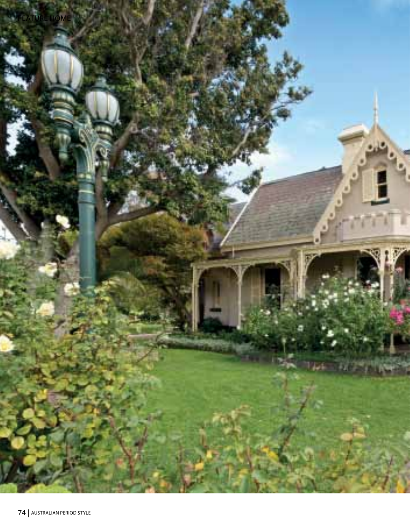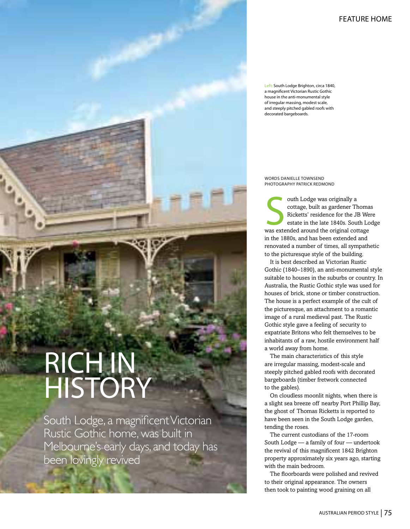## feature home

Left: South Lodge Brighton, circa 1840, a magnificent Victorian Rustic Gothic house in the anti-monumental style of irregular massing, modest scale, and steeply pitched gabled roofs with decorated bargeboards.

Words Danielle Townsend Photography Patrick Redmond

outh Lodge was originally a<br>cottage, built as gardener Thoma<br>Ricketts' residence for the JB We<br>estate in the late 1840s. South Lo<br>was extended around the original cottage outh Lodge was originally a cottage, built as gardener Thomas Ricketts' residence for the JB Were estate in the late 1840s. South Lodge in the 1880s, and has been extended and renovated a number of times, all sympathetic to the picturesque style of the building.

It is best described as Victorian Rustic Gothic (1840–1890), an anti-monumental style suitable to houses in the suburbs or country. In Australia, the Rustic Gothic style was used for houses of brick, stone or timber construction. The house is a perfect example of the cult of the picturesque, an attachment to a romantic image of a rural medieval past. The Rustic Gothic style gave a feeling of security to expatriate Britons who felt themselves to be inhabitants of a raw, hostile environment half a world away from home.

The main characteristics of this style are irregular massing, modest-scale and steeply pitched gabled roofs with decorated bargeboards (timber fretwork connected to the gables).

On cloudless moonlit nights, when there is a slight sea breeze off nearby Port Phillip Bay, the ghost of Thomas Ricketts is reported to have been seen in the South Lodge garden, tending the roses.

The current custodians of the 17-room South Lodge — a family of four — undertook the revival of this magnificent 1842 Brighton property approximately six years ago, starting with the main bedroom.

The floorboards were polished and revived to their original appearance. The owners then took to painting wood graining on all

## RICH IN HISTORY

South Lodge, a magnificent Victorian Rustic Gothic home, was built in Melbourne's early days, and today has been lovingly revived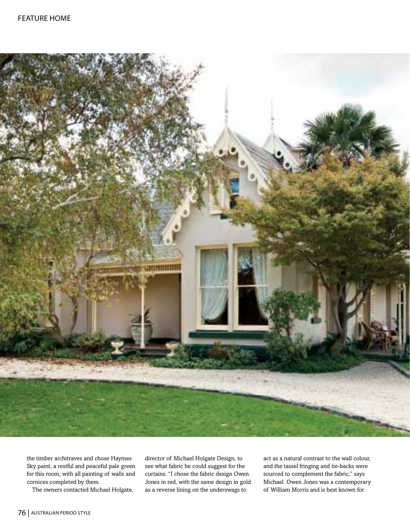

the timber architraves and chose Haymes Sky paint, a restful and peaceful pale green for this room, with all painting of walls and cornices completed by them.

The owners contacted Michael Holgate,

director of Michael Holgate Design, to see what fabric he could suggest for the curtains. "I chose the fabric design Owen Jones in red, with the same design in gold as a reverse lining on the underswags to

act as a natural contrast to the wall colour, and the tassel fringing and tie-backs were sourced to complement the fabric," says Michael. Owen Jones was a contemporary of William Morris and is best known for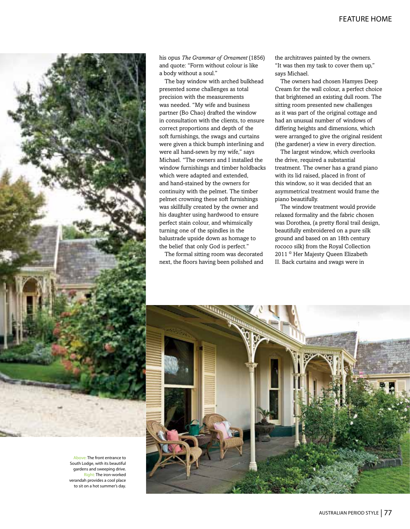

Above: The front entrance to South Lodge, with its beautiful gardens and sweeping drive. Right: The iron-worked verandah provides a cool place to sit on a hot summer's day.

his opus *The Grammar of Ornament* (1856) and quote: "Form without colour is like a body without a soul."

The bay window with arched bulkhead presented some challenges as total precision with the measurements was needed. "My wife and business partner (Bo Chao) drafted the window in consultation with the clients, to ensure correct proportions and depth of the soft furnishings, the swags and curtains were given a thick bumph interlining and were all hand-sewn by my wife," says Michael. "The owners and I installed the window furnishings and timber holdbacks which were adapted and extended, and hand-stained by the owners for continuity with the pelmet. The timber pelmet crowning these soft furnishings was skillfully created by the owner and his daughter using hardwood to ensure perfect stain colour, and whimsically turning one of the spindles in the balustrade upside down as homage to the belief that only God is perfect."

The formal sitting room was decorated next, the floors having been polished and the architraves painted by the owners. "It was then my task to cover them up," says Michael.

The owners had chosen Hamyes Deep Cream for the wall colour, a perfect choice that brightened an existing dull room. The sitting room presented new challenges as it was part of the original cottage and had an unusual number of windows of differing heights and dimensions, which were arranged to give the original resident (the gardener) a view in every direction.

The largest window, which overlooks the drive, required a substantial treatment. The owner has a grand piano with its lid raised, placed in front of this window, so it was decided that an asymmetrical treatment would frame the piano beautifully.

The window treatment would provide relaxed formality and the fabric chosen was Dorothea, (a pretty floral trail design, beautifully embroidered on a pure silk ground and based on an 18th century rococo silk) from the Royal Collection 2011 © Her Majesty Queen Elizabeth II. Back curtains and swags were in

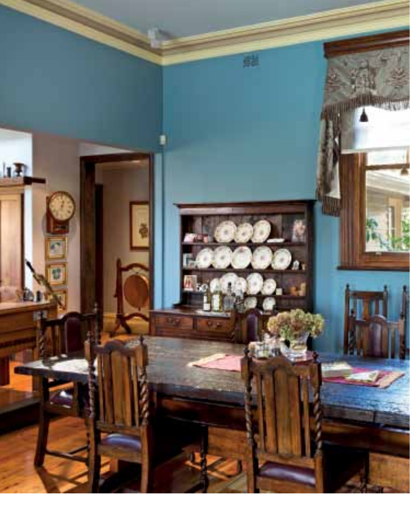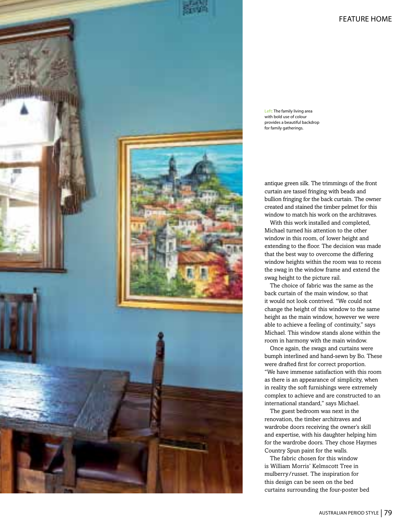

Left: The family living area with bold use of colour provides a beautiful backdrop for family gatherings.

antique green silk. The trimmings of the front curtain are tassel fringing with beads and bullion fringing for the back curtain. The owner created and stained the timber pelmet for this window to match his work on the architraves.

With this work installed and completed, Michael turned his attention to the other window in this room, of lower height and extending to the floor. The decision was made that the best way to overcome the differing window heights within the room was to recess the swag in the window frame and extend the swag height to the picture rail.

The choice of fabric was the same as the back curtain of the main window, so that it would not look contrived. "We could not change the height of this window to the same height as the main window, however we were able to achieve a feeling of continuity," says Michael. This window stands alone within the room in harmony with the main window.

Once again, the swags and curtains were bumph interlined and hand-sewn by Bo. These were drafted first for correct proportion. "We have immense satisfaction with this room as there is an appearance of simplicity, when in reality the soft furnishings were extremely complex to achieve and are constructed to an international standard," says Michael.

The guest bedroom was next in the renovation, the timber architraves and wardrobe doors receiving the owner's skill and expertise, with his daughter helping him for the wardrobe doors. They chose Haymes Country Spun paint for the walls.

The fabric chosen for this window is William Morris' Kelmscott Tree in mulberry/russet. The inspiration for this design can be seen on the bed curtains surrounding the four-poster bed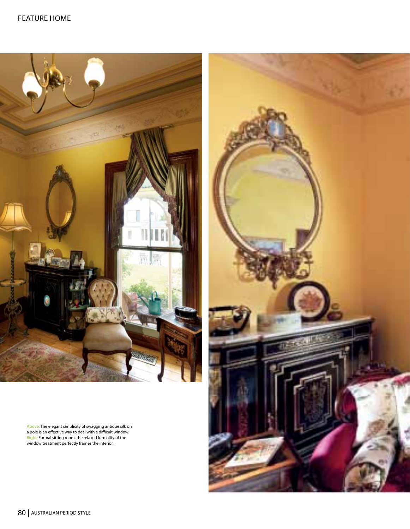

Above: The elegant simplicity of swagging antique silk on a pole is an effective way to deal with a difficult window. Right: Formal sitting room, the relaxed formality of the window treatment perfectly frames the interior.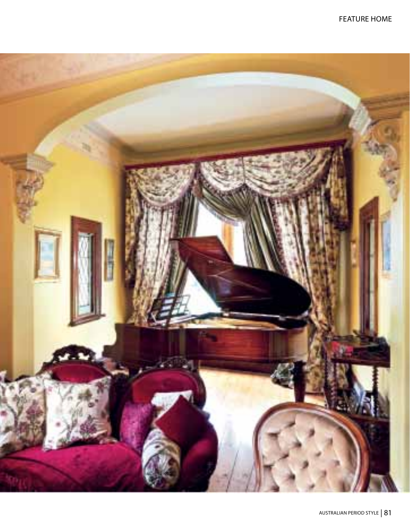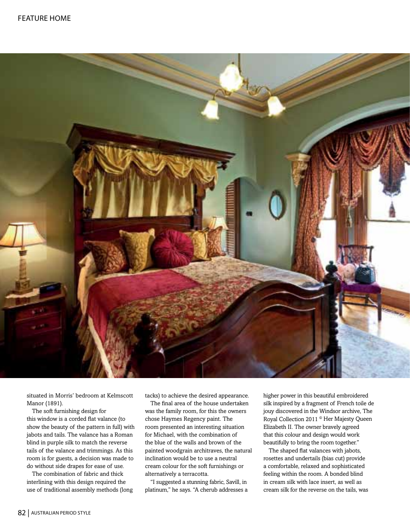

situated in Morris' bedroom at Kelmscott Manor (1891).

The soft furnishing design for this window is a corded flat valance (to show the beauty of the pattern in full) with jabots and tails. The valance has a Roman blind in purple silk to match the reverse tails of the valance and trimmings. As this room is for guests, a decision was made to do without side drapes for ease of use.

The combination of fabric and thick interlining with this design required the use of traditional assembly methods (long tacks) to achieve the desired appearance.

The final area of the house undertaken was the family room, for this the owners chose Haymes Regency paint. The room presented an interesting situation for Michael, with the combination of the blue of the walls and brown of the painted woodgrain architraves, the natural inclination would be to use a neutral cream colour for the soft furnishings or alternatively a terracotta.

"I suggested a stunning fabric, Savill, in platinum," he says. "A cherub addresses a higher power in this beautiful embroidered silk inspired by a fragment of French toile de jouy discovered in the Windsor archive, The Royal Collection 2011 © Her Majesty Queen Elizabeth II. The owner bravely agreed that this colour and design would work beautifully to bring the room together."

The shaped flat valances with jabots, rosettes and undertails (bias cut) provide a comfortable, relaxed and sophisticated feeling within the room. A bonded blind in cream silk with lace insert, as well as cream silk for the reverse on the tails, was